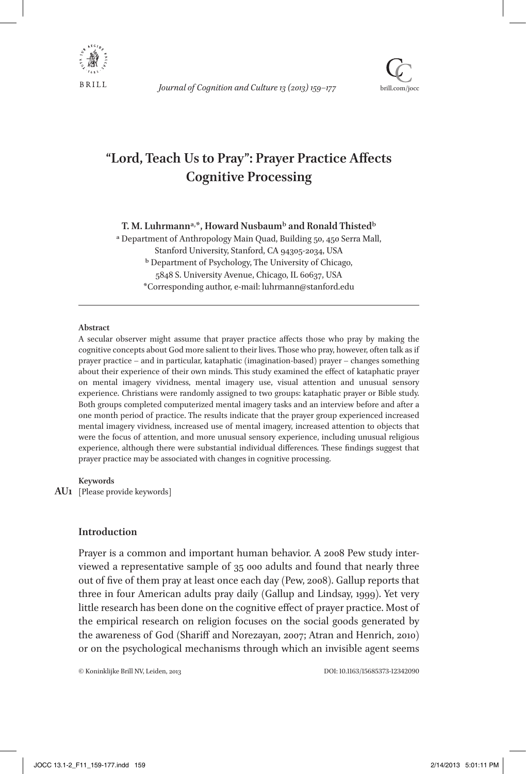

*Journal of Cognition and Culture13 (2013) 159–177* brill.com/jocc



# **"Lord, Teach Us to Pray": Prayer Practice Affects Cognitive Processing**

**T. M. Luhrmann**a, \***, Howard Nusbaum**b **and Ronald Thisted**b

a Department of Anthropology Main Quad, Building 50, 450 Serra Mall, Stanford University, Stanford, CA 94305-2034, USA b Department of Psychology, The University of Chicago, 5848 S. University Avenue, Chicago, IL 60637, USA \*Corresponding author, e-mail: luhrmann@stanford.edu

#### **Abstract**

A secular observer might assume that prayer practice affects those who pray by making the cognitive concepts about God more salient to their lives. Those who pray, however, often talk as if prayer practice – and in particular, kataphatic (imagination-based) prayer – changes something about their experience of their own minds. This study examined the effect of kataphatic prayer on mental imagery vividness, mental imagery use, visual attention and unusual sensory experience. Christians were randomly assigned to two groups: kataphatic prayer or Bible study. Both groups completed computerized mental imagery tasks and an interview before and after a one month period of practice. The results indicate that the prayer group experienced increased mental imagery vividness, increased use of mental imagery, increased attention to objects that were the focus of attention, and more unusual sensory experience, including unusual religious experience, although there were substantial individual differences. These findings suggest that prayer practice may be associated with changes in cognitive processing.

#### **Keywords**

**AU1** [Please provide keywords]

## **Introduction**

Prayer is a common and important human behavior. A 2008 Pew study interviewed a representative sample of 35 000 adults and found that nearly three out of five of them pray at least once each day (Pew, 2008). Gallup reports that three in four American adults pray daily (Gallup and Lindsay, 1999). Yet very little research has been done on the cognitive effect of prayer practice. Most of the empirical research on religion focuses on the social goods generated by the awareness of God (Shariff and Norezayan, 2007; Atran and Henrich, 2010) or on the psychological mechanisms through which an invisible agent seems

© Koninklijke Brill NV, Leiden, 2013 DOI: 10.1163/15685373-12342090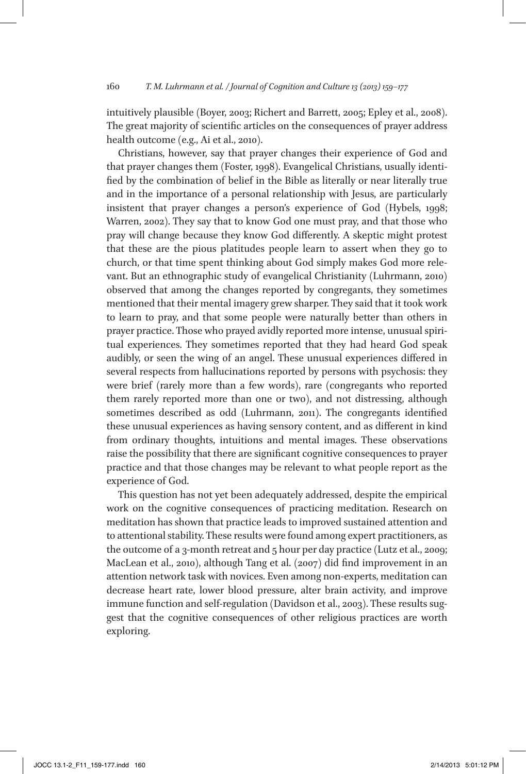intuitively plausible (Boyer, 2003; Richert and Barrett, 2005; Epley et al., 2008). The great majority of scientific articles on the consequences of prayer address health outcome (e.g., Ai et al., 2010).

Christians, however, say that prayer changes their experience of God and that prayer changes them (Foster, 1998). Evangelical Christians, usually identified by the combination of belief in the Bible as literally or near literally true and in the importance of a personal relationship with Jesus, are particularly insistent that prayer changes a person's experience of God (Hybels, 1998; Warren, 2002). They say that to know God one must pray, and that those who pray will change because they know God differently. A skeptic might protest that these are the pious platitudes people learn to assert when they go to church, or that time spent thinking about God simply makes God more relevant. But an ethnographic study of evangelical Christianity (Luhrmann, 2010) observed that among the changes reported by congregants, they sometimes mentioned that their mental imagery grew sharper. They said that it took work to learn to pray, and that some people were naturally better than others in prayer practice. Those who prayed avidly reported more intense, unusual spiritual experiences. They sometimes reported that they had heard God speak audibly, or seen the wing of an angel. These unusual experiences differed in several respects from hallucinations reported by persons with psychosis: they were brief (rarely more than a few words), rare (congregants who reported them rarely reported more than one or two), and not distressing, although sometimes described as odd (Luhrmann, 2011). The congregants identified these unusual experiences as having sensory content, and as different in kind from ordinary thoughts, intuitions and mental images. These observations raise the possibility that there are significant cognitive consequences to prayer practice and that those changes may be relevant to what people report as the experience of God.

This question has not yet been adequately addressed, despite the empirical work on the cognitive consequences of practicing meditation. Research on meditation has shown that practice leads to improved sustained attention and to attentional stability. These results were found among expert practitioners, as the outcome of a 3-month retreat and 5 hour per day practice (Lutz et al., 2009; MacLean et al., 2010), although Tang et al. (2007) did find improvement in an attention network task with novices. Even among non-experts, meditation can decrease heart rate, lower blood pressure, alter brain activity, and improve immune function and self-regulation (Davidson et al., 2003). These results suggest that the cognitive consequences of other religious practices are worth exploring.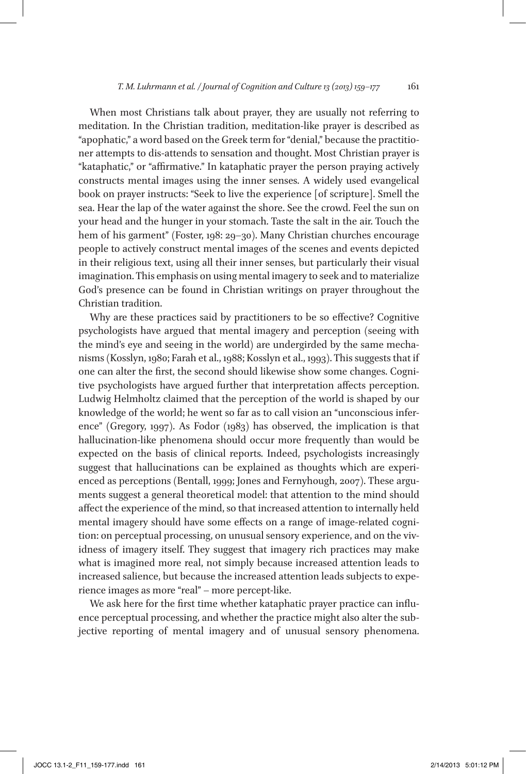When most Christians talk about prayer, they are usually not referring to meditation. In the Christian tradition, meditation-like prayer is described as "apophatic," a word based on the Greek term for "denial," because the practitioner attempts to dis-attends to sensation and thought. Most Christian prayer is "kataphatic," or "affirmative." In kataphatic prayer the person praying actively constructs mental images using the inner senses. A widely used evangelical book on prayer instructs: "Seek to live the experience [of scripture]. Smell the sea. Hear the lap of the water against the shore. See the crowd. Feel the sun on your head and the hunger in your stomach. Taste the salt in the air. Touch the hem of his garment" (Foster, 198: 29–30). Many Christian churches encourage people to actively construct mental images of the scenes and events depicted in their religious text, using all their inner senses, but particularly their visual imagination. This emphasis on using mental imagery to seek and to materialize God's presence can be found in Christian writings on prayer throughout the Christian tradition.

Why are these practices said by practitioners to be so effective? Cognitive psychologists have argued that mental imagery and perception (seeing with the mind's eye and seeing in the world) are undergirded by the same mechanisms (Kosslyn, 1980; Farah et al., 1988; Kosslyn et al., 1993). This suggests that if one can alter the first, the second should likewise show some changes. Cognitive psychologists have argued further that interpretation affects perception. Ludwig Helmholtz claimed that the perception of the world is shaped by our knowledge of the world; he went so far as to call vision an "unconscious inference" (Gregory, 1997). As Fodor (1983) has observed, the implication is that hallucination-like phenomena should occur more frequently than would be expected on the basis of clinical reports. Indeed, psychologists increasingly suggest that hallucinations can be explained as thoughts which are experienced as perceptions (Bentall, 1999; Jones and Fernyhough, 2007). These arguments suggest a general theoretical model: that attention to the mind should affect the experience of the mind, so that increased attention to internally held mental imagery should have some effects on a range of image-related cognition: on perceptual processing, on unusual sensory experience, and on the vividness of imagery itself. They suggest that imagery rich practices may make what is imagined more real, not simply because increased attention leads to increased salience, but because the increased attention leads subjects to experience images as more "real" – more percept-like.

We ask here for the first time whether kataphatic prayer practice can influence perceptual processing, and whether the practice might also alter the subjective reporting of mental imagery and of unusual sensory phenomena.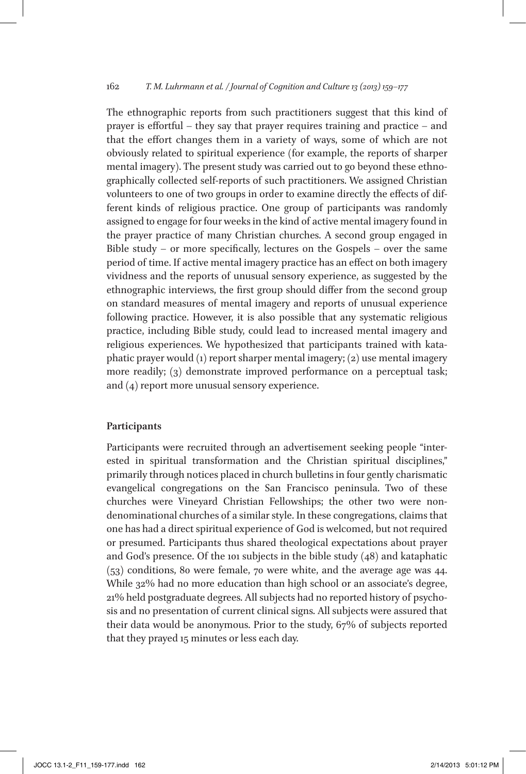The ethnographic reports from such practitioners suggest that this kind of prayer is effortful – they say that prayer requires training and practice – and that the effort changes them in a variety of ways, some of which are not obviously related to spiritual experience (for example, the reports of sharper mental imagery). The present study was carried out to go beyond these ethnographically collected self-reports of such practitioners. We assigned Christian volunteers to one of two groups in order to examine directly the effects of different kinds of religious practice. One group of participants was randomly assigned to engage for four weeks in the kind of active mental imagery found in the prayer practice of many Christian churches. A second group engaged in Bible study – or more specifically, lectures on the Gospels – over the same period of time. If active mental imagery practice has an effect on both imagery vividness and the reports of unusual sensory experience, as suggested by the ethnographic interviews, the first group should differ from the second group on standard measures of mental imagery and reports of unusual experience following practice. However, it is also possible that any systematic religious practice, including Bible study, could lead to increased mental imagery and religious experiences. We hypothesized that participants trained with kataphatic prayer would (1) report sharper mental imagery; (2) use mental imagery more readily; (3) demonstrate improved performance on a perceptual task; and (4) report more unusual sensory experience.

#### **Participants**

Participants were recruited through an advertisement seeking people "interested in spiritual transformation and the Christian spiritual disciplines," primarily through notices placed in church bulletins in four gently charismatic evangelical congregations on the San Francisco peninsula. Two of these churches were Vineyard Christian Fellowships; the other two were nondenominational churches of a similar style. In these congregations, claims that one has had a direct spiritual experience of God is welcomed, but not required or presumed. Participants thus shared theological expectations about prayer and God's presence. Of the 101 subjects in the bible study (48) and kataphatic (53) conditions, 80 were female, 70 were white, and the average age was 44. While 32% had no more education than high school or an associate's degree, 21% held postgraduate degrees. All subjects had no reported history of psychosis and no presentation of current clinical signs. All subjects were assured that their data would be anonymous. Prior to the study, 67% of subjects reported that they prayed 15 minutes or less each day.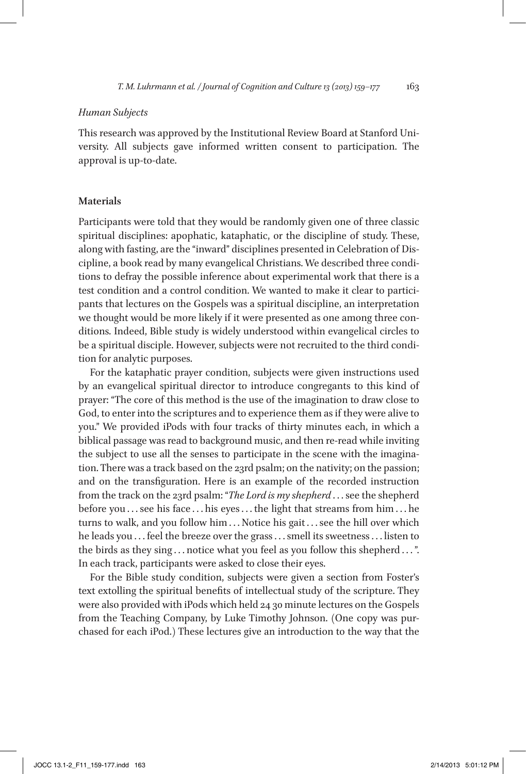#### *Human Subjects*

This research was approved by the Institutional Review Board at Stanford University. All subjects gave informed written consent to participation. The approval is up-to-date.

## **Materials**

Participants were told that they would be randomly given one of three classic spiritual disciplines: apophatic, kataphatic, or the discipline of study. These, along with fasting, are the "inward" disciplines presented in Celebration of Discipline, a book read by many evangelical Christians. We described three conditions to defray the possible inference about experimental work that there is a test condition and a control condition. We wanted to make it clear to participants that lectures on the Gospels was a spiritual discipline, an interpretation we thought would be more likely if it were presented as one among three conditions. Indeed, Bible study is widely understood within evangelical circles to be a spiritual disciple. However, subjects were not recruited to the third condition for analytic purposes.

For the kataphatic prayer condition, subjects were given instructions used by an evangelical spiritual director to introduce congregants to this kind of prayer: "The core of this method is the use of the imagination to draw close to God, to enter into the scriptures and to experience them as if they were alive to you." We provided iPods with four tracks of thirty minutes each, in which a biblical passage was read to background music, and then re-read while inviting the subject to use all the senses to participate in the scene with the imagination. There was a track based on the 23rd psalm; on the nativity; on the passion; and on the transfiguration. Here is an example of the recorded instruction from the track on the 23rd psalm: "*The Lord is my shepherd* . . . see the shepherd before you . . . see his face . . . his eyes . . . the light that streams from him . . . he turns to walk, and you follow him . . . Notice his gait . . . see the hill over which he leads you . . . feel the breeze over the grass . . . smell its sweetness . . . listen to the birds as they sing . . . notice what you feel as you follow this shepherd . . . ". In each track, participants were asked to close their eyes.

For the Bible study condition, subjects were given a section from Foster's text extolling the spiritual benefits of intellectual study of the scripture. They were also provided with iPods which held 24 30 minute lectures on the Gospels from the Teaching Company, by Luke Timothy Johnson. (One copy was purchased for each iPod.) These lectures give an introduction to the way that the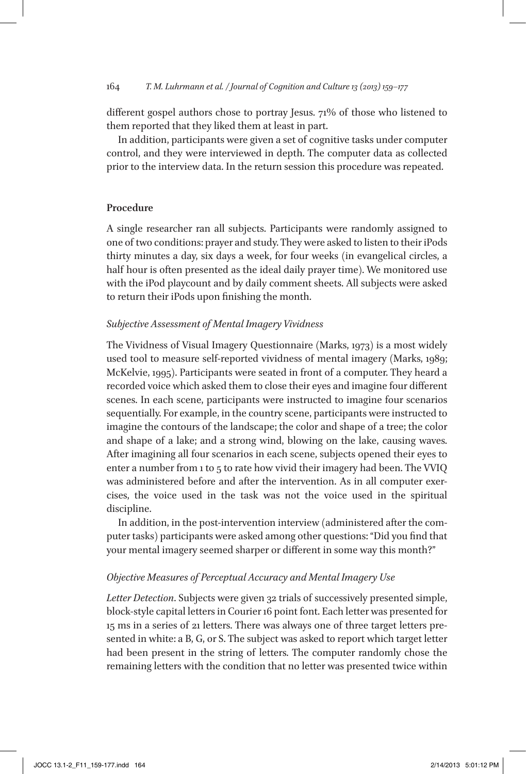different gospel authors chose to portray Jesus. 71% of those who listened to them reported that they liked them at least in part.

In addition, participants were given a set of cognitive tasks under computer control, and they were interviewed in depth. The computer data as collected prior to the interview data. In the return session this procedure was repeated.

## **Procedure**

A single researcher ran all subjects. Participants were randomly assigned to one of two conditions: prayer and study. They were asked to listen to their iPods thirty minutes a day, six days a week, for four weeks (in evangelical circles, a half hour is often presented as the ideal daily prayer time). We monitored use with the iPod playcount and by daily comment sheets. All subjects were asked to return their iPods upon finishing the month.

#### *Subjective Assessment of Mental Imagery Vividness*

The Vividness of Visual Imagery Questionnaire (Marks, 1973) is a most widely used tool to measure self-reported vividness of mental imagery (Marks, 1989; McKelvie, 1995). Participants were seated in front of a computer. They heard a recorded voice which asked them to close their eyes and imagine four different scenes. In each scene, participants were instructed to imagine four scenarios sequentially. For example, in the country scene, participants were instructed to imagine the contours of the landscape; the color and shape of a tree; the color and shape of a lake; and a strong wind, blowing on the lake, causing waves. After imagining all four scenarios in each scene, subjects opened their eyes to enter a number from 1 to 5 to rate how vivid their imagery had been. The VVIQ was administered before and after the intervention. As in all computer exercises, the voice used in the task was not the voice used in the spiritual discipline.

In addition, in the post-intervention interview (administered after the computer tasks) participants were asked among other questions: "Did you find that your mental imagery seemed sharper or different in some way this month?"

#### *Objective Measures of Perceptual Accuracy and Mental Imagery Use*

*Letter Detection*. Subjects were given 32 trials of successively presented simple, block-style capital letters in Courier 16 point font. Each letter was presented for 15 ms in a series of 21 letters. There was always one of three target letters presented in white: a B, G, or S. The subject was asked to report which target letter had been present in the string of letters. The computer randomly chose the remaining letters with the condition that no letter was presented twice within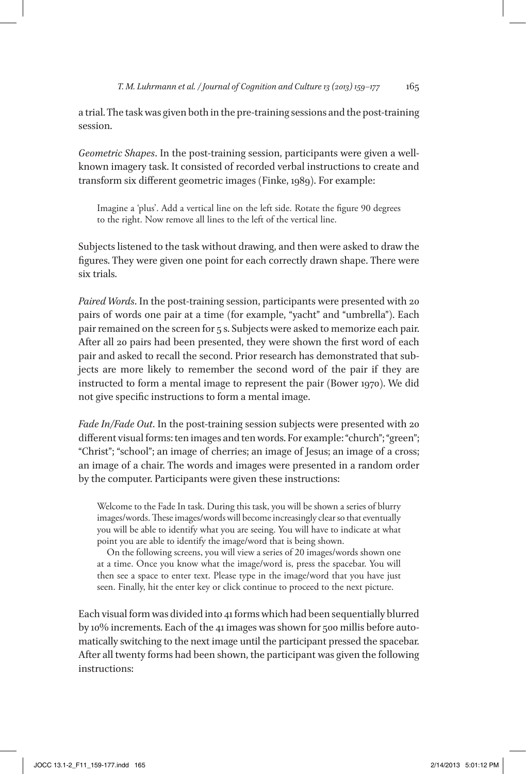a trial. The task was given both in the pre-training sessions and the post-training session.

*Geometric Shapes*. In the post-training session, participants were given a wellknown imagery task. It consisted of recorded verbal instructions to create and transform six different geometric images (Finke, 1989). For example:

Imagine a 'plus'. Add a vertical line on the left side. Rotate the figure 90 degrees to the right. Now remove all lines to the left of the vertical line.

Subjects listened to the task without drawing, and then were asked to draw the figures. They were given one point for each correctly drawn shape. There were six trials.

*Paired Words*. In the post-training session, participants were presented with 20 pairs of words one pair at a time (for example, "yacht" and "umbrella"). Each pair remained on the screen for 5 s. Subjects were asked to memorize each pair. After all 20 pairs had been presented, they were shown the first word of each pair and asked to recall the second. Prior research has demonstrated that subjects are more likely to remember the second word of the pair if they are instructed to form a mental image to represent the pair (Bower 1970). We did not give specific instructions to form a mental image.

*Fade In/Fade Out*. In the post-training session subjects were presented with 20 different visual forms: ten images and ten words. For example: "church"; "green"; "Christ"; "school"; an image of cherries; an image of Jesus; an image of a cross; an image of a chair. The words and images were presented in a random order by the computer. Participants were given these instructions:

Welcome to the Fade In task. During this task, you will be shown a series of blurry images/words. These images/words will become increasingly clear so that eventually you will be able to identify what you are seeing. You will have to indicate at what point you are able to identify the image/word that is being shown.

On the following screens, you will view a series of 20 images/words shown one at a time. Once you know what the image/word is, press the spacebar. You will then see a space to enter text. Please type in the image/word that you have just seen. Finally, hit the enter key or click continue to proceed to the next picture.

Each visual form was divided into 41 forms which had been sequentially blurred by 10% increments. Each of the 41 images was shown for 500 millis before automatically switching to the next image until the participant pressed the spacebar. After all twenty forms had been shown, the participant was given the following instructions: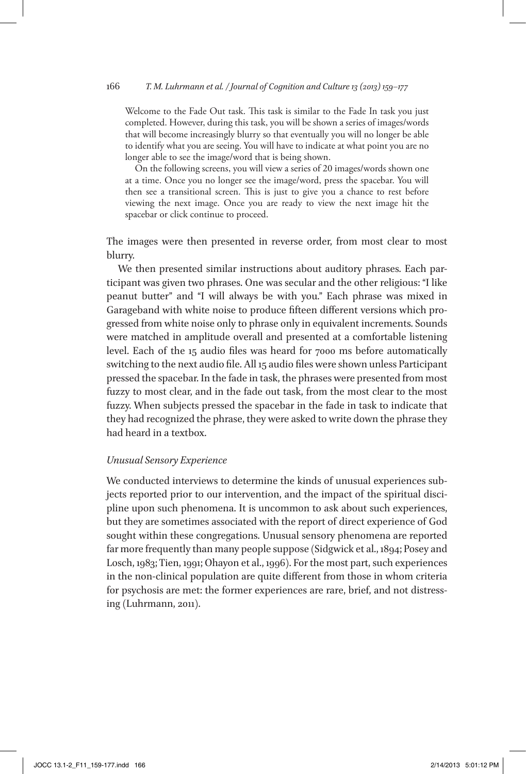Welcome to the Fade Out task. This task is similar to the Fade In task you just completed. However, during this task, you will be shown a series of images/words that will become increasingly blurry so that eventually you will no longer be able to identify what you are seeing. You will have to indicate at what point you are no longer able to see the image/word that is being shown.

On the following screens, you will view a series of 20 images/words shown one at a time. Once you no longer see the image/word, press the spacebar. You will then see a transitional screen. This is just to give you a chance to rest before viewing the next image. Once you are ready to view the next image hit the spacebar or click continue to proceed.

The images were then presented in reverse order, from most clear to most blurry.

We then presented similar instructions about auditory phrases. Each participant was given two phrases. One was secular and the other religious: "I like peanut butter" and "I will always be with you." Each phrase was mixed in Garageband with white noise to produce fifteen different versions which progressed from white noise only to phrase only in equivalent increments. Sounds were matched in amplitude overall and presented at a comfortable listening level. Each of the 15 audio files was heard for 7000 ms before automatically switching to the next audio file. All 15 audio files were shown unless Participant pressed the spacebar. In the fade in task, the phrases were presented from most fuzzy to most clear, and in the fade out task, from the most clear to the most fuzzy. When subjects pressed the spacebar in the fade in task to indicate that they had recognized the phrase, they were asked to write down the phrase they had heard in a textbox.

#### *Unusual Sensory Experience*

We conducted interviews to determine the kinds of unusual experiences subjects reported prior to our intervention, and the impact of the spiritual discipline upon such phenomena. It is uncommon to ask about such experiences, but they are sometimes associated with the report of direct experience of God sought within these congregations. Unusual sensory phenomena are reported far more frequently than many people suppose (Sidgwick et al., 1894; Posey and Losch, 1983; Tien, 1991; Ohayon et al., 1996). For the most part, such experiences in the non-clinical population are quite different from those in whom criteria for psychosis are met: the former experiences are rare, brief, and not distressing (Luhrmann, 2011).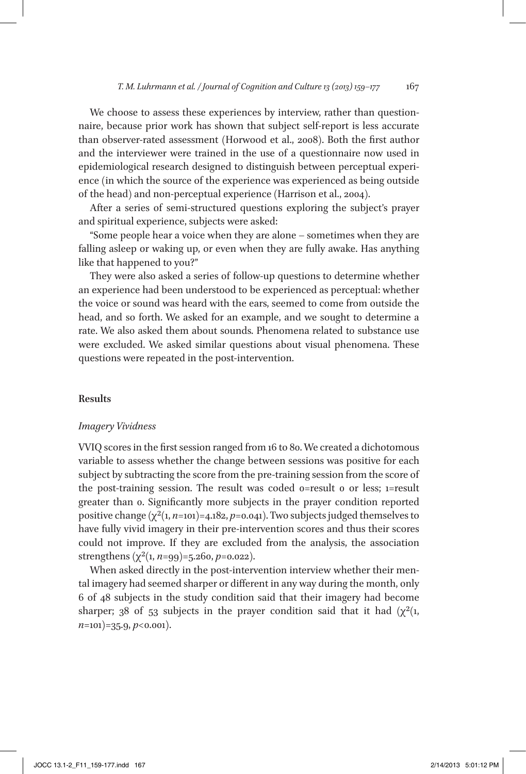We choose to assess these experiences by interview, rather than questionnaire, because prior work has shown that subject self-report is less accurate than observer-rated assessment (Horwood et al., 2008). Both the first author and the interviewer were trained in the use of a questionnaire now used in epidemiological research designed to distinguish between perceptual experience (in which the source of the experience was experienced as being outside of the head) and non-perceptual experience (Harrison et al., 2004).

After a series of semi-structured questions exploring the subject's prayer and spiritual experience, subjects were asked:

"Some people hear a voice when they are alone – sometimes when they are falling asleep or waking up, or even when they are fully awake. Has anything like that happened to you?"

They were also asked a series of follow-up questions to determine whether an experience had been understood to be experienced as perceptual: whether the voice or sound was heard with the ears, seemed to come from outside the head, and so forth. We asked for an example, and we sought to determine a rate. We also asked them about sounds. Phenomena related to substance use were excluded. We asked similar questions about visual phenomena. These questions were repeated in the post-intervention.

## **Results**

#### *Imagery Vividness*

VVIQ scores in the first session ranged from 16 to 80. We created a dichotomous variable to assess whether the change between sessions was positive for each subject by subtracting the score from the pre-training session from the score of the post-training session. The result was coded o=result o or less; 1=result greater than 0. Significantly more subjects in the prayer condition reported positive change  $(\chi^2(1, n=101)=4.182, p=0.041)$ . Two subjects judged themselves to have fully vivid imagery in their pre-intervention scores and thus their scores could not improve. If they are excluded from the analysis, the association strengthens  $(\chi^2(1, n=99) = 5.260, p=0.022)$ .

When asked directly in the post-intervention interview whether their mental imagery had seemed sharper or different in any way during the month, only 6 of 48 subjects in the study condition said that their imagery had become sharper; 38 of 53 subjects in the prayer condition said that it had  $(\chi^2(1,$ *n*=101)=35.9, *p*<0.001).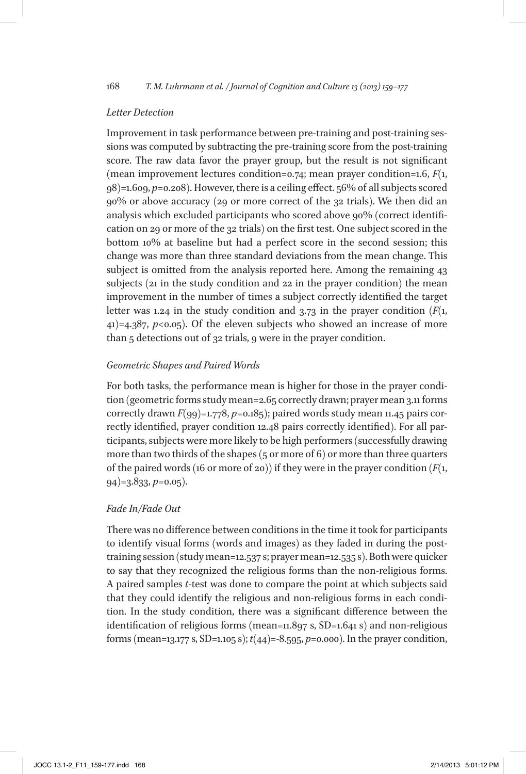## *Letter Detection*

Improvement in task performance between pre-training and post-training sessions was computed by subtracting the pre-training score from the post-training score. The raw data favor the prayer group, but the result is not significant (mean improvement lectures condition=0.74; mean prayer condition=1.6, *F*(1, 98)=1.609, *p*=0.208). However, there is a ceiling effect. 56% of all subjects scored 90% or above accuracy (29 or more correct of the 32 trials). We then did an analysis which excluded participants who scored above 90% (correct identification on 29 or more of the 32 trials) on the first test. One subject scored in the bottom 10% at baseline but had a perfect score in the second session; this change was more than three standard deviations from the mean change. This subject is omitted from the analysis reported here. Among the remaining 43 subjects (21 in the study condition and 22 in the prayer condition) the mean improvement in the number of times a subject correctly identified the target letter was 1.24 in the study condition and  $3.73$  in the prayer condition  $(F(1,$  $(41) = 4.387, p < 0.05$ ). Of the eleven subjects who showed an increase of more than 5 detections out of 32 trials, 9 were in the prayer condition.

#### *Geometric Shapes and Paired Words*

For both tasks, the performance mean is higher for those in the prayer condition (geometric forms study mean=2.65 correctly drawn; prayer mean 3.11 forms correctly drawn *F*(99)=1.778, *p*=0.185); paired words study mean 11.45 pairs correctly identified, prayer condition 12.48 pairs correctly identified). For all participants, subjects were more likely to be high performers (successfully drawing more than two thirds of the shapes (5 or more of 6) or more than three quarters of the paired words (16 or more of 20)) if they were in the prayer condition (*F*(1, 94)=3.833, *p*=0.05).

## *Fade In/Fade Out*

There was no difference between conditions in the time it took for participants to identify visual forms (words and images) as they faded in during the posttraining session (study mean=12.537 s; prayer mean=12.535 s). Both were quicker to say that they recognized the religious forms than the non-religious forms. A paired samples *t*-test was done to compare the point at which subjects said that they could identify the religious and non-religious forms in each condition. In the study condition, there was a significant difference between the identification of religious forms (mean=11.897 s, SD=1.641 s) and non-religious forms (mean=13.177 s, SD=1.105 s); *t*(44)=-8.595, *p*=0.000). In the prayer condition,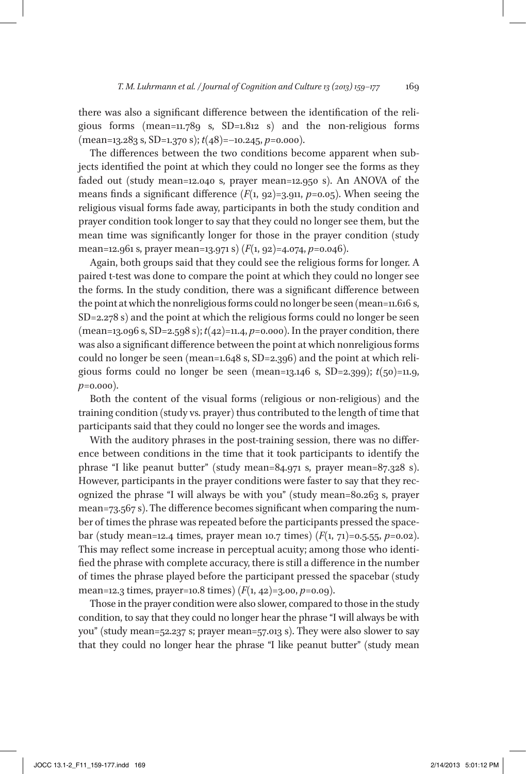there was also a significant difference between the identification of the religious forms (mean=11.789 s, SD=1.812 s) and the non-religious forms (mean=13.283 s, SD=1.370 s); *t*(48)=–10.245, *p*=0.000).

The differences between the two conditions become apparent when subjects identified the point at which they could no longer see the forms as they faded out (study mean=12.040 s, prayer mean=12.950 s). An ANOVA of the means finds a significant difference (*F*(1, 92)=3.911, *p*=0.05). When seeing the religious visual forms fade away, participants in both the study condition and prayer condition took longer to say that they could no longer see them, but the mean time was significantly longer for those in the prayer condition (study mean=12.961 s, prayer mean=13.971 s) (*F*(1, 92)=4.074, *p*=0.046).

Again, both groups said that they could see the religious forms for longer. A paired t-test was done to compare the point at which they could no longer see the forms. In the study condition, there was a significant difference between the point at which the nonreligious forms could no longer be seen (mean=11.616 s, SD=2.278 s) and the point at which the religious forms could no longer be seen (mean=13.096 s, SD=2.598 s); *t*(42)=11.4, *p*=0.000). In the prayer condition, there was also a significant difference between the point at which nonreligious forms could no longer be seen (mean=1.648 s, SD=2.396) and the point at which religious forms could no longer be seen (mean=13.146 s, SD=2.399);  $t(50)=11.9$ , *p*=0.000).

Both the content of the visual forms (religious or non-religious) and the training condition (study vs. prayer) thus contributed to the length of time that participants said that they could no longer see the words and images.

With the auditory phrases in the post-training session, there was no difference between conditions in the time that it took participants to identify the phrase "I like peanut butter" (study mean=84.971 s, prayer mean=87.328 s). However, participants in the prayer conditions were faster to say that they recognized the phrase "I will always be with you" (study mean=80.263 s, prayer mean=73.567 s). The difference becomes significant when comparing the number of times the phrase was repeated before the participants pressed the spacebar (study mean=12.4 times, prayer mean 10.7 times) (*F*(1, 71)=0.5.55, *p*=0.02). This may reflect some increase in perceptual acuity; among those who identified the phrase with complete accuracy, there is still a difference in the number of times the phrase played before the participant pressed the spacebar (study mean=12.3 times, prayer=10.8 times) (*F*(1, 42)=3.00, *p*=0.09).

Those in the prayer condition were also slower, compared to those in the study condition, to say that they could no longer hear the phrase "I will always be with you" (study mean=52.237 s; prayer mean=57.013 s). They were also slower to say that they could no longer hear the phrase "I like peanut butter" (study mean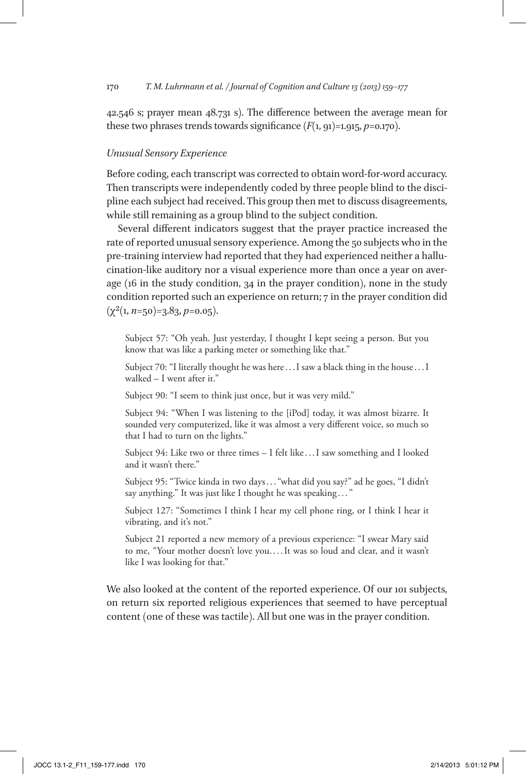42.546 s; prayer mean 48.731 s). The difference between the average mean for these two phrases trends towards significance  $(F(1, 91)=1.915, p=0.170)$ .

#### *Unusual Sensory Experience*

Before coding, each transcript was corrected to obtain word-for-word accuracy. Then transcripts were independently coded by three people blind to the discipline each subject had received. This group then met to discuss disagreements, while still remaining as a group blind to the subject condition.

Several different indicators suggest that the prayer practice increased the rate of reported unusual sensory experience. Among the 50 subjects who in the pre-training interview had reported that they had experienced neither a hallucination-like auditory nor a visual experience more than once a year on average (16 in the study condition, 34 in the prayer condition), none in the study condition reported such an experience on return; 7 in the prayer condition did  $(\chi^2(1, n=50)=3.83, p=0.05)$ .

Subject 57: "Oh yeah. Just yesterday, I thought I kept seeing a person. But you know that was like a parking meter or something like that."

Subject 70: "I literally thought he was here...I saw a black thing in the house...I walked – I went after it."

Subject 90: "I seem to think just once, but it was very mild."

Subject 94: "When I was listening to the [iPod] today, it was almost bizarre. It sounded very computerized, like it was almost a very different voice, so much so that I had to turn on the lights."

Subject 94: Like two or three times – I felt like...I saw something and I looked and it wasn't there."

Subject 95: "Twice kinda in two days. . . "what did you say?" ad he goes, "I didn't say anything." It was just like I thought he was speaking ... "

Subject 127: "Sometimes I think I hear my cell phone ring, or I think I hear it vibrating, and it's not."

Subject 21 reported a new memory of a previous experience: "I swear Mary said to me, "Your mother doesn't love you. ...It was so loud and clear, and it wasn't like I was looking for that."

We also looked at the content of the reported experience. Of our 101 subjects, on return six reported religious experiences that seemed to have perceptual content (one of these was tactile). All but one was in the prayer condition.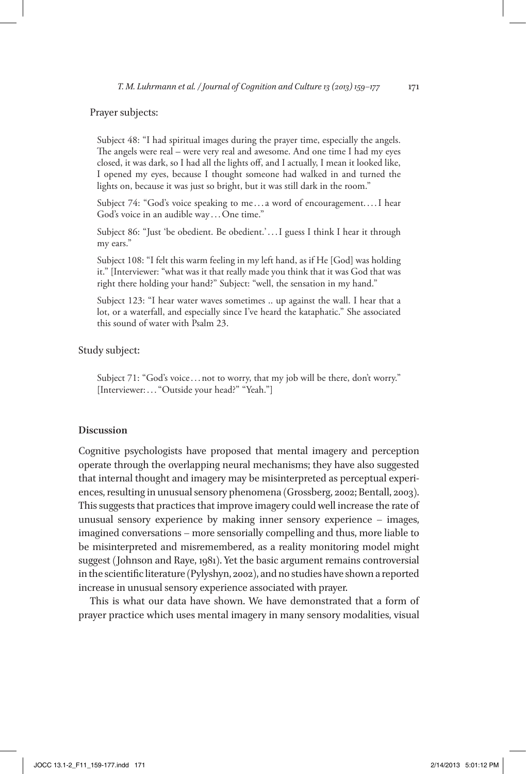#### Prayer subjects:

Subject 48: "I had spiritual images during the prayer time, especially the angels. The angels were real – were very real and awesome. And one time I had my eyes closed, it was dark, so I had all the lights off, and I actually, I mean it looked like, I opened my eyes, because I thought someone had walked in and turned the lights on, because it was just so bright, but it was still dark in the room."

Subject 74: "God's voice speaking to me...a word of encouragement....I hear God's voice in an audible way ...One time."

Subject 86: "Just 'be obedient. Be obedient.'...I guess I think I hear it through my ears."

Subject 108: "I felt this warm feeling in my left hand, as if He [God] was holding it." [Interviewer: "what was it that really made you think that it was God that was right there holding your hand?" Subject: "well, the sensation in my hand."

Subject 123: "I hear water waves sometimes .. up against the wall. I hear that a lot, or a waterfall, and especially since I've heard the kataphatic." She associated this sound of water with Psalm 23.

Study subject:

Subject 71: "God's voice...not to worry, that my job will be there, don't worry." [Interviewer: ... "Outside your head?" "Yeah."]

#### **Discussion**

Cognitive psychologists have proposed that mental imagery and perception operate through the overlapping neural mechanisms; they have also suggested that internal thought and imagery may be misinterpreted as perceptual experiences, resulting in unusual sensory phenomena (Grossberg, 2002; Bentall, 2003). This suggests that practices that improve imagery could well increase the rate of unusual sensory experience by making inner sensory experience – images, imagined conversations – more sensorially compelling and thus, more liable to be misinterpreted and misremembered, as a reality monitoring model might suggest (Johnson and Raye, 1981). Yet the basic argument remains controversial in the scientific literature (Pylyshyn, 2002), and no studies have shown a reported increase in unusual sensory experience associated with prayer.

This is what our data have shown. We have demonstrated that a form of prayer practice which uses mental imagery in many sensory modalities, visual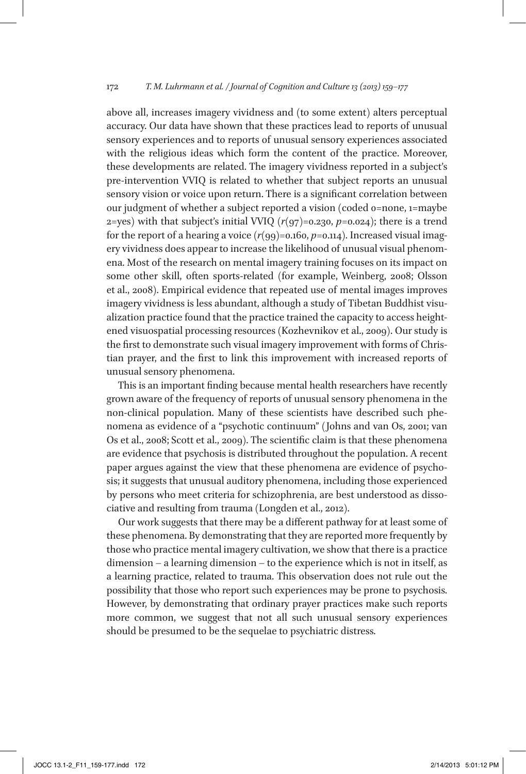above all, increases imagery vividness and (to some extent) alters perceptual accuracy. Our data have shown that these practices lead to reports of unusual sensory experiences and to reports of unusual sensory experiences associated with the religious ideas which form the content of the practice. Moreover, these developments are related. The imagery vividness reported in a subject's pre-intervention VVIQ is related to whether that subject reports an unusual sensory vision or voice upon return. There is a significant correlation between our judgment of whether a subject reported a vision (coded 0=none, 1=maybe 2=yes) with that subject's initial VVIQ (*r*(97)=0.230, *p*=0.024); there is a trend for the report of a hearing a voice  $(r(gg)=0.160, p=0.114)$ . Increased visual imagery vividness does appear to increase the likelihood of unusual visual phenomena. Most of the research on mental imagery training focuses on its impact on some other skill, often sports-related (for example, Weinberg, 2008; Olsson et al., 2008). Empirical evidence that repeated use of mental images improves imagery vividness is less abundant, although a study of Tibetan Buddhist visualization practice found that the practice trained the capacity to access heightened visuospatial processing resources (Kozhevnikov et al., 2009). Our study is the first to demonstrate such visual imagery improvement with forms of Christian prayer, and the first to link this improvement with increased reports of unusual sensory phenomena.

This is an important finding because mental health researchers have recently grown aware of the frequency of reports of unusual sensory phenomena in the non-clinical population. Many of these scientists have described such phenomena as evidence of a "psychotic continuum" (Johns and van Os, 2001; van Os et al., 2008; Scott et al., 2009). The scientific claim is that these phenomena are evidence that psychosis is distributed throughout the population. A recent paper argues against the view that these phenomena are evidence of psychosis; it suggests that unusual auditory phenomena, including those experienced by persons who meet criteria for schizophrenia, are best understood as dissociative and resulting from trauma (Longden et al., 2012).

Our work suggests that there may be a different pathway for at least some of these phenomena. By demonstrating that they are reported more frequently by those who practice mental imagery cultivation, we show that there is a practice dimension – a learning dimension – to the experience which is not in itself, as a learning practice, related to trauma. This observation does not rule out the possibility that those who report such experiences may be prone to psychosis. However, by demonstrating that ordinary prayer practices make such reports more common, we suggest that not all such unusual sensory experiences should be presumed to be the sequelae to psychiatric distress.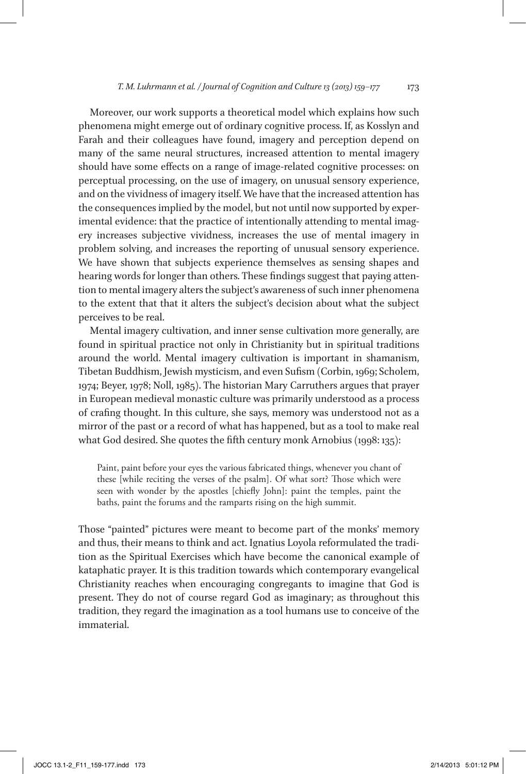Moreover, our work supports a theoretical model which explains how such phenomena might emerge out of ordinary cognitive process. If, as Kosslyn and Farah and their colleagues have found, imagery and perception depend on many of the same neural structures, increased attention to mental imagery should have some effects on a range of image-related cognitive processes: on perceptual processing, on the use of imagery, on unusual sensory experience, and on the vividness of imagery itself. We have that the increased attention has the consequences implied by the model, but not until now supported by experimental evidence: that the practice of intentionally attending to mental imagery increases subjective vividness, increases the use of mental imagery in problem solving, and increases the reporting of unusual sensory experience. We have shown that subjects experience themselves as sensing shapes and hearing words for longer than others. These findings suggest that paying attention to mental imagery alters the subject's awareness of such inner phenomena to the extent that that it alters the subject's decision about what the subject perceives to be real.

Mental imagery cultivation, and inner sense cultivation more generally, are found in spiritual practice not only in Christianity but in spiritual traditions around the world. Mental imagery cultivation is important in shamanism, Tibetan Buddhism, Jewish mysticism, and even Sufism (Corbin, 1969; Scholem, 1974; Beyer, 1978; Noll, 1985). The historian Mary Carruthers argues that prayer in European medieval monastic culture was primarily understood as a process of crafing thought. In this culture, she says, memory was understood not as a mirror of the past or a record of what has happened, but as a tool to make real what God desired. She quotes the fifth century monk Arnobius (1998: 135):

Paint, paint before your eyes the various fabricated things, whenever you chant of these [while reciting the verses of the psalm]. Of what sort? Those which were seen with wonder by the apostles [chiefly John]: paint the temples, paint the baths, paint the forums and the ramparts rising on the high summit.

Those "painted" pictures were meant to become part of the monks' memory and thus, their means to think and act. Ignatius Loyola reformulated the tradition as the Spiritual Exercises which have become the canonical example of kataphatic prayer. It is this tradition towards which contemporary evangelical Christianity reaches when encouraging congregants to imagine that God is present. They do not of course regard God as imaginary; as throughout this tradition, they regard the imagination as a tool humans use to conceive of the immaterial.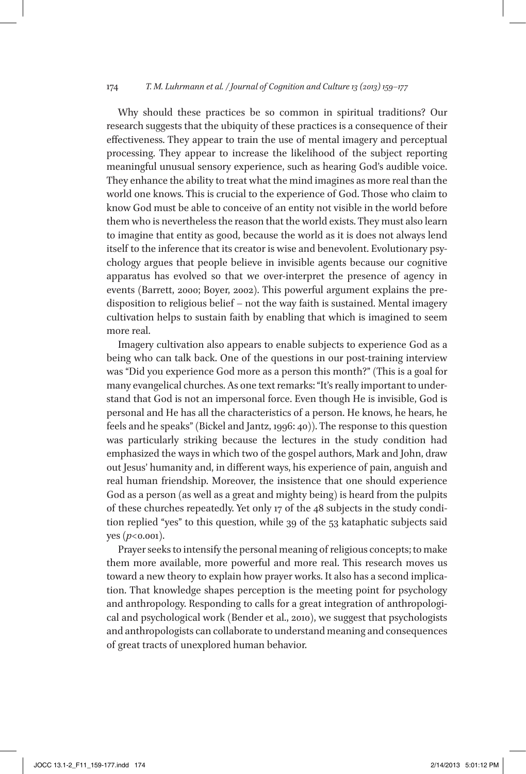Why should these practices be so common in spiritual traditions? Our research suggests that the ubiquity of these practices is a consequence of their effectiveness. They appear to train the use of mental imagery and perceptual processing. They appear to increase the likelihood of the subject reporting meaningful unusual sensory experience, such as hearing God's audible voice. They enhance the ability to treat what the mind imagines as more real than the world one knows. This is crucial to the experience of God. Those who claim to know God must be able to conceive of an entity not visible in the world before them who is nevertheless the reason that the world exists. They must also learn to imagine that entity as good, because the world as it is does not always lend itself to the inference that its creator is wise and benevolent. Evolutionary psychology argues that people believe in invisible agents because our cognitive apparatus has evolved so that we over-interpret the presence of agency in events (Barrett, 2000; Boyer, 2002). This powerful argument explains the predisposition to religious belief – not the way faith is sustained. Mental imagery cultivation helps to sustain faith by enabling that which is imagined to seem more real.

Imagery cultivation also appears to enable subjects to experience God as a being who can talk back. One of the questions in our post-training interview was "Did you experience God more as a person this month?" (This is a goal for many evangelical churches. As one text remarks: "It's really important to understand that God is not an impersonal force. Even though He is invisible, God is personal and He has all the characteristics of a person. He knows, he hears, he feels and he speaks" (Bickel and Jantz, 1996: 40)). The response to this question was particularly striking because the lectures in the study condition had emphasized the ways in which two of the gospel authors, Mark and John, draw out Jesus' humanity and, in different ways, his experience of pain, anguish and real human friendship. Moreover, the insistence that one should experience God as a person (as well as a great and mighty being) is heard from the pulpits of these churches repeatedly. Yet only 17 of the 48 subjects in the study condition replied "yes" to this question, while 39 of the 53 kataphatic subjects said  $yes (p < 0.001)$ .

Prayer seeks to intensify the personal meaning of religious concepts; to make them more available, more powerful and more real. This research moves us toward a new theory to explain how prayer works. It also has a second implication. That knowledge shapes perception is the meeting point for psychology and anthropology. Responding to calls for a great integration of anthropological and psychological work (Bender et al., 2010), we suggest that psychologists and anthropologists can collaborate to understand meaning and consequences of great tracts of unexplored human behavior.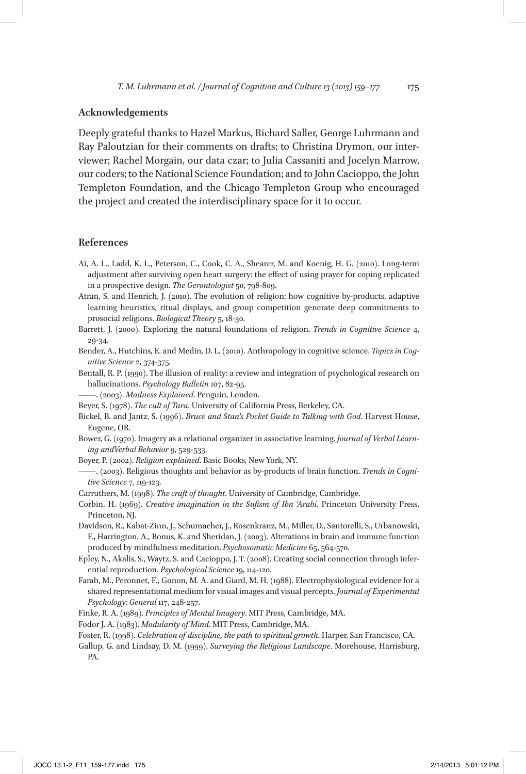## **Acknowledgements**

Deeply grateful thanks to Hazel Markus, Richard Saller, George Luhrmann and Ray Paloutzian for their comments on drafts; to Christina Drymon, our interviewer; Rachel Morgain, our data czar; to Julia Cassaniti and Jocelyn Marrow, our coders; to the National Science Foundation; and to John Cacioppo, the John Templeton Foundation, and the Chicago Templeton Group who encouraged the project and created the interdisciplinary space for it to occur.

#### **References**

- Ai, A. L., Ladd, K. L., Peterson, C., Cook, C. A., Shearer, M. and Koenig, H. G. (2010). Long-term adjustment after surviving open heart surgery: the effect of using prayer for coping replicated in a prospective design. *The Gerontologist* 50, 798-809.
- Atran, S. and Henrich, J. (2010). The evolution of religion: how cognitive by-products, adaptive learning heuristics, ritual displays, and group competition generate deep commitments to prosocial religions. *Biological Theory* 5, 18-30.
- Barrett, J. (2000). Exploring the natural foundations of religion. *Trends in Cognitive Science* 4, 29-34.
- Bender, A., Hutchins, E. and Medin, D. L. (2010). Anthropology in cognitive science. *Topics in Cognitive Science* 2, 374-375.
- Bentall, R. P. (1990). The illusion of reality: a review and integration of psychological research on hallucinations. *Psychology Bulletin* 107, 82-95.
- ——. (2003). *Madness Explained*. Penguin, London.

Beyer, S. (1978). *The cult of Tara*. University of California Press, Berkeley, CA.

Bickel, B. and Jantz, S. (1996). *Bruce and Stan's Pocket Guide to Talking with God*. Harvest House, Eugene, OR.

- Bower, G. (1970). Imagery as a relational organizer in associative learning. *Journal of Verbal Learning andVerbal Behavior* 9, 529-533.
- Boyer, P. (2002). *Religion explained*. Basic Books, New York, NY.
- ——. (2003). Religious thoughts and behavior as by-products of brain function. *Trends in Cognitive Science* 7, 119-123.
- Carruthers, M. (1998). *The craft of thought*. University of Cambridge, Cambridge.
- Corbin, H. (1969). *Creative imagination in the Sufism of Ibn 'Arabi*. Princeton University Press, Princeton, NJ.
- Davidson, R., Kabat-Zinn, J., Schumacher, J., Rosenkranz, M., Miller, D., Santorelli, S., Urbanowski, F., Harrington, A., Bonus, K. and Sheridan, J. (2003). Alterations in brain and immune function produced by mindfulness meditation. *Psychosomatic Medicine* 65, 564-570.
- Epley, N., Akalis, S., Waytz, S. and Cacioppo, J. T. (2008). Creating social connection through inferential reproduction. *Psychological Science* 19, 114-120.
- Farah, M., Peronnet, F., Gonon, M. A. and Giard, M. H. (1988). Electrophysiological evidence for a shared representational medium for visual images and visual percepts. *Journal of Experimental Psychology: General* 117, 248-257.
- Finke, R. A. (1989). *Principles of Mental Imagery*. MIT Press, Cambridge, MA.
- Fodor J. A. (1983). *Modularity of Mind*. MIT Press, Cambridge, MA.
- Foster, R. (1998). *Celebration of discipline, the path to spiritual growth*. Harper, San Francisco, CA.
- Gallup, G. and Lindsay, D. M. (1999). *Surveying the Religious Landscape*. Morehouse, Harrisburg, PA.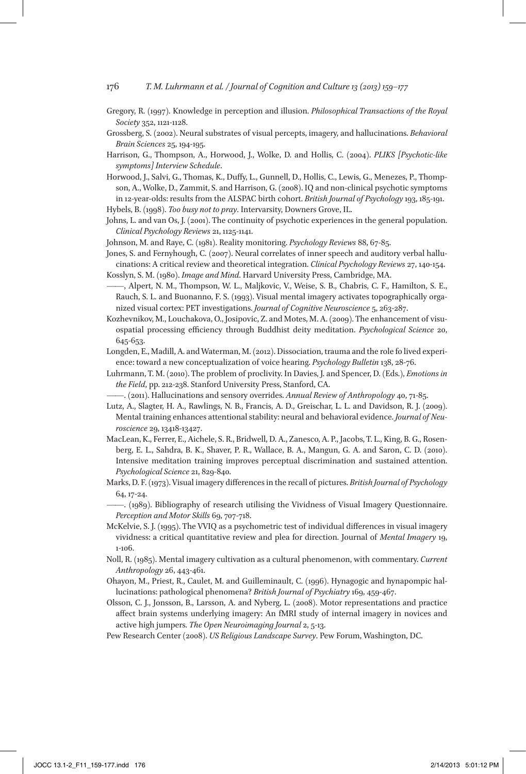- Gregory, R. (1997). Knowledge in perception and illusion. *Philosophical Transactions of the Royal Society* 352, 1121-1128.
- [Grossberg](http://philpapers.org/s/Stephen Grossberg), S. (2002). Neural substrates of visual [percepts, imagery, and](http://journals.cambridge.org/action/displayFulltext?type=1&fid=145762&jid=BBS&volumeId=25&issueId=02&aid=145761) hallucinations. *Behavioral Brain Sciences* 25, 194-195.
- Harrison, G., Thompson, A., Horwood, J., Wolke, D. and Hollis, C. (2004). *PLIKS [Psychotic-like symptoms] Interview Schedule*.
- Horwood, J., Salvi, G., Thomas, K., Duffy, L., Gunnell, D., Hollis, C., Lewis, G., Menezes, P., Thompson, A., Wolke, D., Zammit, S. and Harrison, G. (2008). IQ and non-clinical psychotic symptoms in 12-year-olds: results from the ALSPAC birth cohort. *British Journal of Psychology* 193, 185-191. Hybels, B. (1998). *Too busy not to pray*. Intervarsity, Downers Grove, IL.
- Johns, L. and van Os, J. (2001). The continuity of psychotic experiences in the general population. *Clinical Psychology Reviews* 21, 1125-1141.
- Johnson, M. and Raye, C. (1981). Reality monitoring. *Psychology Reviews* 88, 67-85.
- Jones, S. and Fernyhough, C. (2007). Neural correlates of inner speech and auditory verbal hallucinations: A critical review and theoretical integration. *Clinical Psychology Reviews* 27, 140-154.
- Kosslyn, S. M. (1980). *Image and Mind*. Harvard University Press, Cambridge, MA. ——, Alpert, N. M., Thompson, W. L., Maljkovic, V., Weise, S. B., Chabris, C. F., Hamilton, S. E., Rauch, S. L. and Buonanno, F. S. (1993). Visual mental imagery activates topographically organized visual cortex: PET investigations. *Journal of Cognitive Neuroscience* 5, 263-287.
- Kozhevnikov, M., Louchakova, O., Josipovic, Z. and Motes, M. A. (2009). The enhancement of visuospatial processing efficiency through Buddhist deity meditation. *Psychological Science* 20, 645-653.
- Longden, E., Madill, A. and Waterman, M. (2012). Dissociation, trauma and the role fo lived experience: toward a new conceptualization of voice hearing. *Psychology Bulletin* 138, 28-76.
- Luhrmann, T. M. (2010). The problem of proclivity. In Davies, J. and Spencer, D. (Eds.), *Emotions in the Field*, pp. 212-238. Stanford University Press, Stanford, CA.
- ——. (2011). Hallucinations and sensory overrides. *Annual Review of Anthropology* 40, 71-85.
- Lutz, A., Slagter, H. A., Rawlings, N. B., Francis, A. D., Greischar, L. L. and Davidson, R. J. (2009). Mental training enhances attentional stability: neural and behavioral evidence. *Journal of Neuroscience* 29, 13418-13427.
- MacLean, K., Ferrer, E., Aichele, S. R., Bridwell, D. A., Zanesco, A. P., Jacobs, T. L., King, B. G., Rosenberg, E. L., Sahdra, B. K., Shaver, P. R., Wallace, B. A., Mangun, G. A. and Saron, C. D. (2010). Intensive meditation training improves perceptual discrimination and sustained attention. *Psychological Science* 21, 829-840.
- Marks, D. F. (1973). Visual imagery differences in the recall of pictures. *British Journal of Psychology* 64, 17-24.
- ——. (1989). Bibliography of research utilising the Vividness of Visual Imagery Questionnaire. *Perception and Motor Skills* 69, 707-718.
- McKelvie, S. J. (1995). The VVIQ as a psychometric test of individual differences in visual imagery vividness: a critical quantitative review and plea for direction. Journal of *Mental Imagery* 19, 1-106.
- Noll, R. (1985). Mental imagery cultivation as a cultural phenomenon, with commentary. *Current Anthropology* 26, 443-461.
- Ohayon, M., Priest, R., Caulet, M. and Guilleminault, C. (1996). Hynagogic and hynapompic hallucinations: pathological phenomena? *British Journal of Psychiatry* 169, 459-467.
- Olsson, C. J., Jonsson, B., Larsson, A. and Nyberg, L. (2008). Motor representations and practice affect brain systems underlying imagery: An fMRI study of internal imagery in novices and active high jumpers. *The Open Neuroimaging Journal* 2, 5-13.
- Pew Research Center (2008). *US Religious Landscape Survey*. Pew Forum, Washington, DC.